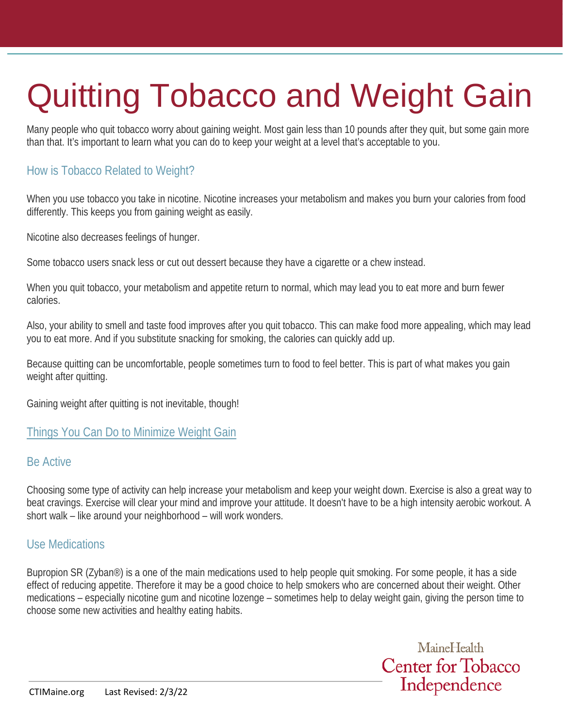# Quitting Tobacco and Weight Gain

Many people who quit tobacco worry about gaining weight. Most gain less than 10 pounds after they quit, but some gain more than that. It's important to learn what you can do to keep your weight at a level that's acceptable to you.

# How is Tobacco Related to Weight?

When you use tobacco you take in nicotine. Nicotine increases your metabolism and makes you burn your calories from food differently. This keeps you from gaining weight as easily.

Nicotine also decreases feelings of hunger.

Some tobacco users snack less or cut out dessert because they have a cigarette or a chew instead.

When you quit tobacco, your metabolism and appetite return to normal, which may lead you to eat more and burn fewer calories.

Also, your ability to smell and taste food improves after you quit tobacco. This can make food more appealing, which may lead you to eat more. And if you substitute snacking for smoking, the calories can quickly add up.

Because quitting can be uncomfortable, people sometimes turn to food to feel better. This is part of what makes you gain weight after quitting.

Gaining weight after quitting is not inevitable, though!

#### Things You Can Do to Minimize Weight Gain

#### Be Active

Choosing some type of activity can help increase your metabolism and keep your weight down. Exercise is also a great way to beat cravings. Exercise will clear your mind and improve your attitude. It doesn't have to be a high intensity aerobic workout. A short walk – like around your neighborhood – will work wonders.

#### Use Medications

Bupropion SR (Zyban®) is a one of the main medications used to help people quit smoking. For some people, it has a side effect of reducing appetite. Therefore it may be a good choice to help smokers who are concerned about their weight. Other medications – especially nicotine gum and nicotine lozenge – sometimes help to delay weight gain, giving the person time to choose some new activities and healthy eating habits.

> MaineHealth **Center for Tobacco** Independence